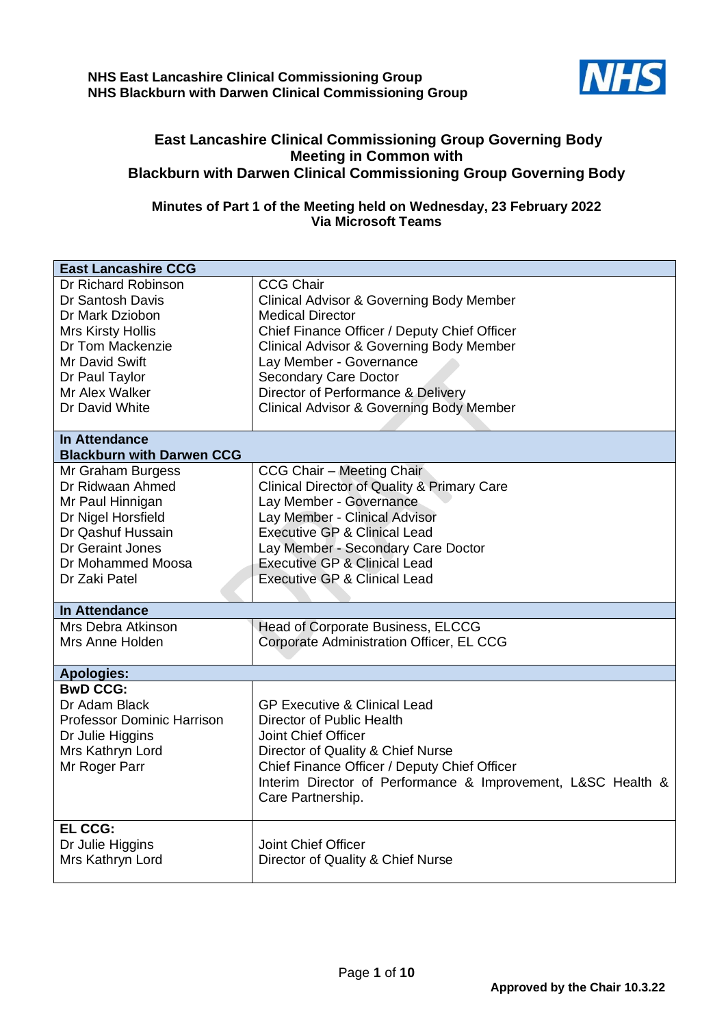

## **East Lancashire Clinical Commissioning Group Governing Body Meeting in Common with Blackburn with Darwen Clinical Commissioning Group Governing Body**

## **Minutes of Part 1 of the Meeting held on Wednesday, 23 February 2022 Via Microsoft Teams**

| <b>East Lancashire CCG</b>                                                                                                     |                                                                                                                                                                                                                                                                       |
|--------------------------------------------------------------------------------------------------------------------------------|-----------------------------------------------------------------------------------------------------------------------------------------------------------------------------------------------------------------------------------------------------------------------|
| Dr Richard Robinson<br>Dr Santosh Davis<br>Dr Mark Dziobon                                                                     | <b>CCG Chair</b><br><b>Clinical Advisor &amp; Governing Body Member</b><br><b>Medical Director</b>                                                                                                                                                                    |
| <b>Mrs Kirsty Hollis</b>                                                                                                       | Chief Finance Officer / Deputy Chief Officer                                                                                                                                                                                                                          |
| Dr Tom Mackenzie                                                                                                               | <b>Clinical Advisor &amp; Governing Body Member</b>                                                                                                                                                                                                                   |
| Mr David Swift                                                                                                                 | Lay Member - Governance                                                                                                                                                                                                                                               |
| Dr Paul Taylor                                                                                                                 | <b>Secondary Care Doctor</b>                                                                                                                                                                                                                                          |
| Mr Alex Walker                                                                                                                 | Director of Performance & Delivery                                                                                                                                                                                                                                    |
| Dr David White                                                                                                                 | <b>Clinical Advisor &amp; Governing Body Member</b>                                                                                                                                                                                                                   |
| <b>In Attendance</b>                                                                                                           |                                                                                                                                                                                                                                                                       |
| <b>Blackburn with Darwen CCG</b>                                                                                               |                                                                                                                                                                                                                                                                       |
| Mr Graham Burgess<br>Dr Ridwaan Ahmed<br>Mr Paul Hinnigan<br>Dr Nigel Horsfield                                                | CCG Chair - Meeting Chair<br><b>Clinical Director of Quality &amp; Primary Care</b><br>Lay Member - Governance<br>Lay Member - Clinical Advisor                                                                                                                       |
| Dr Qashuf Hussain                                                                                                              | <b>Executive GP &amp; Clinical Lead</b>                                                                                                                                                                                                                               |
| Dr Geraint Jones                                                                                                               | Lay Member - Secondary Care Doctor                                                                                                                                                                                                                                    |
| Dr Mohammed Moosa                                                                                                              | <b>Executive GP &amp; Clinical Lead</b>                                                                                                                                                                                                                               |
| Dr Zaki Patel                                                                                                                  | <b>Executive GP &amp; Clinical Lead</b>                                                                                                                                                                                                                               |
| In Attendance                                                                                                                  |                                                                                                                                                                                                                                                                       |
| Mrs Debra Atkinson<br>Mrs Anne Holden                                                                                          | Head of Corporate Business, ELCCG<br>Corporate Administration Officer, EL CCG                                                                                                                                                                                         |
| <b>Apologies:</b>                                                                                                              |                                                                                                                                                                                                                                                                       |
| <b>BwD CCG:</b><br>Dr Adam Black<br><b>Professor Dominic Harrison</b><br>Dr Julie Higgins<br>Mrs Kathryn Lord<br>Mr Roger Parr | <b>GP Executive &amp; Clinical Lead</b><br>Director of Public Health<br>Joint Chief Officer<br>Director of Quality & Chief Nurse<br>Chief Finance Officer / Deputy Chief Officer<br>Interim Director of Performance & Improvement, L&SC Health &<br>Care Partnership. |
| <b>EL CCG:</b><br>Dr Julie Higgins<br>Mrs Kathryn Lord                                                                         | Joint Chief Officer<br>Director of Quality & Chief Nurse                                                                                                                                                                                                              |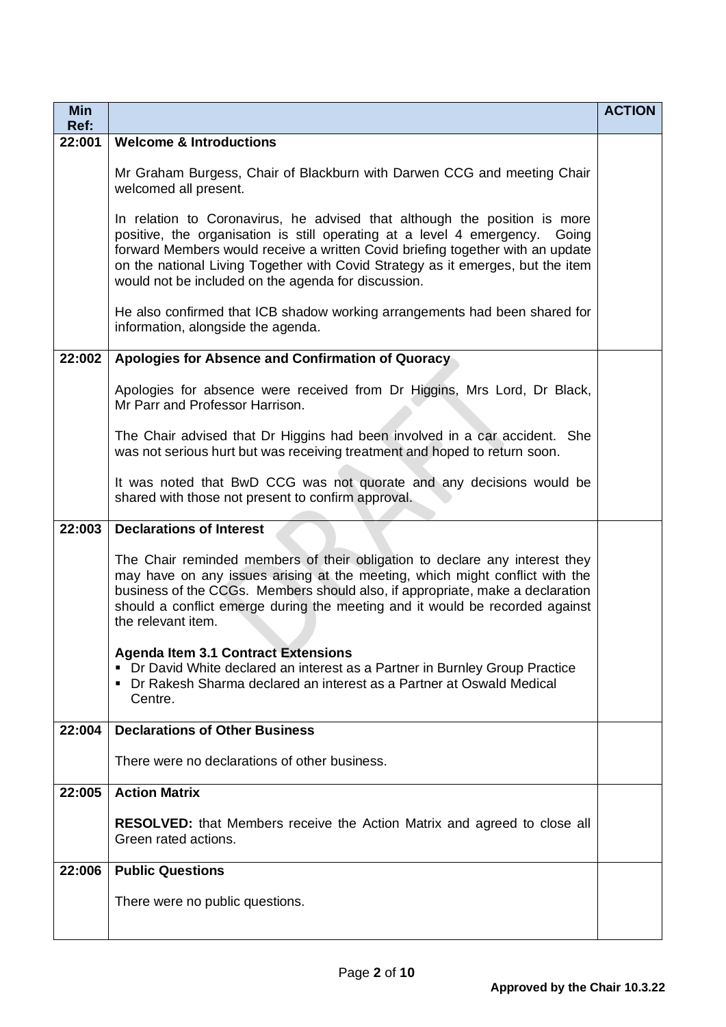| <b>Min</b><br>Ref: |                                                                                                                                                                                                                                                                                                                                                                                         | <b>ACTION</b> |
|--------------------|-----------------------------------------------------------------------------------------------------------------------------------------------------------------------------------------------------------------------------------------------------------------------------------------------------------------------------------------------------------------------------------------|---------------|
| 22:001             | <b>Welcome &amp; Introductions</b>                                                                                                                                                                                                                                                                                                                                                      |               |
|                    | Mr Graham Burgess, Chair of Blackburn with Darwen CCG and meeting Chair<br>welcomed all present.                                                                                                                                                                                                                                                                                        |               |
|                    | In relation to Coronavirus, he advised that although the position is more<br>positive, the organisation is still operating at a level 4 emergency.<br>Going<br>forward Members would receive a written Covid briefing together with an update<br>on the national Living Together with Covid Strategy as it emerges, but the item<br>would not be included on the agenda for discussion. |               |
|                    | He also confirmed that ICB shadow working arrangements had been shared for<br>information, alongside the agenda.                                                                                                                                                                                                                                                                        |               |
| 22:002             | Apologies for Absence and Confirmation of Quoracy                                                                                                                                                                                                                                                                                                                                       |               |
|                    | Apologies for absence were received from Dr Higgins, Mrs Lord, Dr Black,<br>Mr Parr and Professor Harrison.                                                                                                                                                                                                                                                                             |               |
|                    | The Chair advised that Dr Higgins had been involved in a car accident. She<br>was not serious hurt but was receiving treatment and hoped to return soon.                                                                                                                                                                                                                                |               |
|                    | It was noted that BwD CCG was not quorate and any decisions would be<br>shared with those not present to confirm approval.                                                                                                                                                                                                                                                              |               |
| 22:003             | <b>Declarations of Interest</b>                                                                                                                                                                                                                                                                                                                                                         |               |
|                    | The Chair reminded members of their obligation to declare any interest they<br>may have on any issues arising at the meeting, which might conflict with the<br>business of the CCGs. Members should also, if appropriate, make a declaration<br>should a conflict emerge during the meeting and it would be recorded against<br>the relevant item.                                      |               |
|                    | <b>Agenda Item 3.1 Contract Extensions</b><br>• Dr David White declared an interest as a Partner in Burnley Group Practice<br>• Dr Rakesh Sharma declared an interest as a Partner at Oswald Medical<br>Centre.                                                                                                                                                                         |               |
| 22:004             | <b>Declarations of Other Business</b>                                                                                                                                                                                                                                                                                                                                                   |               |
|                    | There were no declarations of other business.                                                                                                                                                                                                                                                                                                                                           |               |
| 22:005             | <b>Action Matrix</b>                                                                                                                                                                                                                                                                                                                                                                    |               |
|                    | <b>RESOLVED:</b> that Members receive the Action Matrix and agreed to close all<br>Green rated actions.                                                                                                                                                                                                                                                                                 |               |
| 22:006             | <b>Public Questions</b>                                                                                                                                                                                                                                                                                                                                                                 |               |
|                    | There were no public questions.                                                                                                                                                                                                                                                                                                                                                         |               |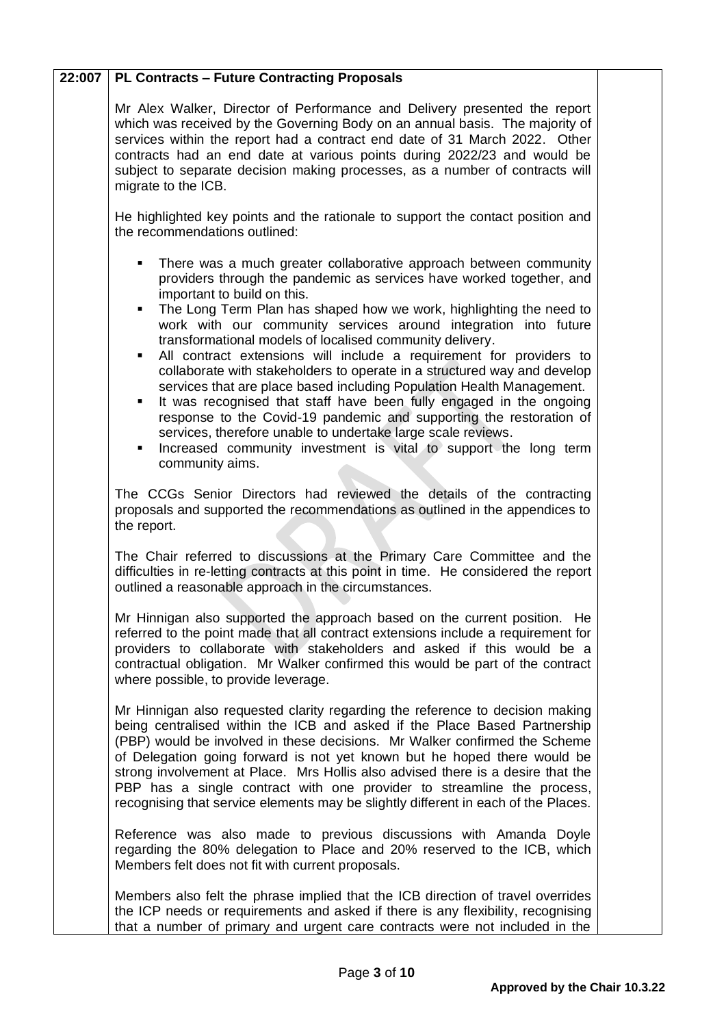| 22:007 | <b>PL Contracts - Future Contracting Proposals</b>                                                                                                                                                                                                                                                                                                                                                                                                                                                                                                                                                                                                                                                                                                                                                                                                                                                                                       |  |
|--------|------------------------------------------------------------------------------------------------------------------------------------------------------------------------------------------------------------------------------------------------------------------------------------------------------------------------------------------------------------------------------------------------------------------------------------------------------------------------------------------------------------------------------------------------------------------------------------------------------------------------------------------------------------------------------------------------------------------------------------------------------------------------------------------------------------------------------------------------------------------------------------------------------------------------------------------|--|
|        | Mr Alex Walker, Director of Performance and Delivery presented the report<br>which was received by the Governing Body on an annual basis. The majority of<br>services within the report had a contract end date of 31 March 2022. Other<br>contracts had an end date at various points during 2022/23 and would be<br>subject to separate decision making processes, as a number of contracts will<br>migrate to the ICB.                                                                                                                                                                                                                                                                                                                                                                                                                                                                                                                |  |
|        | He highlighted key points and the rationale to support the contact position and<br>the recommendations outlined:                                                                                                                                                                                                                                                                                                                                                                                                                                                                                                                                                                                                                                                                                                                                                                                                                         |  |
|        | There was a much greater collaborative approach between community<br>٠<br>providers through the pandemic as services have worked together, and<br>important to build on this.<br>The Long Term Plan has shaped how we work, highlighting the need to<br>٠<br>work with our community services around integration into future<br>transformational models of localised community delivery.<br>All contract extensions will include a requirement for providers to<br>٠<br>collaborate with stakeholders to operate in a structured way and develop<br>services that are place based including Population Health Management.<br>It was recognised that staff have been fully engaged in the ongoing<br>٠<br>response to the Covid-19 pandemic and supporting the restoration of<br>services, therefore unable to undertake large scale reviews.<br>Increased community investment is vital to support the long term<br>٠<br>community aims. |  |
|        | The CCGs Senior Directors had reviewed the details of the contracting<br>proposals and supported the recommendations as outlined in the appendices to<br>the report.                                                                                                                                                                                                                                                                                                                                                                                                                                                                                                                                                                                                                                                                                                                                                                     |  |
|        | The Chair referred to discussions at the Primary Care Committee and the<br>difficulties in re-letting contracts at this point in time. He considered the report<br>outlined a reasonable approach in the circumstances.                                                                                                                                                                                                                                                                                                                                                                                                                                                                                                                                                                                                                                                                                                                  |  |
|        | Mr Hinnigan also supported the approach based on the current position. He<br>referred to the point made that all contract extensions include a requirement for<br>providers to collaborate with stakeholders and asked if this would be a<br>contractual obligation. Mr Walker confirmed this would be part of the contract<br>where possible, to provide leverage.                                                                                                                                                                                                                                                                                                                                                                                                                                                                                                                                                                      |  |
|        | Mr Hinnigan also requested clarity regarding the reference to decision making<br>being centralised within the ICB and asked if the Place Based Partnership<br>(PBP) would be involved in these decisions. Mr Walker confirmed the Scheme<br>of Delegation going forward is not yet known but he hoped there would be<br>strong involvement at Place. Mrs Hollis also advised there is a desire that the<br>PBP has a single contract with one provider to streamline the process,<br>recognising that service elements may be slightly different in each of the Places.                                                                                                                                                                                                                                                                                                                                                                  |  |
|        | Reference was also made to previous discussions with Amanda Doyle<br>regarding the 80% delegation to Place and 20% reserved to the ICB, which<br>Members felt does not fit with current proposals.                                                                                                                                                                                                                                                                                                                                                                                                                                                                                                                                                                                                                                                                                                                                       |  |
|        | Members also felt the phrase implied that the ICB direction of travel overrides<br>the ICP needs or requirements and asked if there is any flexibility, recognising<br>that a number of primary and urgent care contracts were not included in the                                                                                                                                                                                                                                                                                                                                                                                                                                                                                                                                                                                                                                                                                       |  |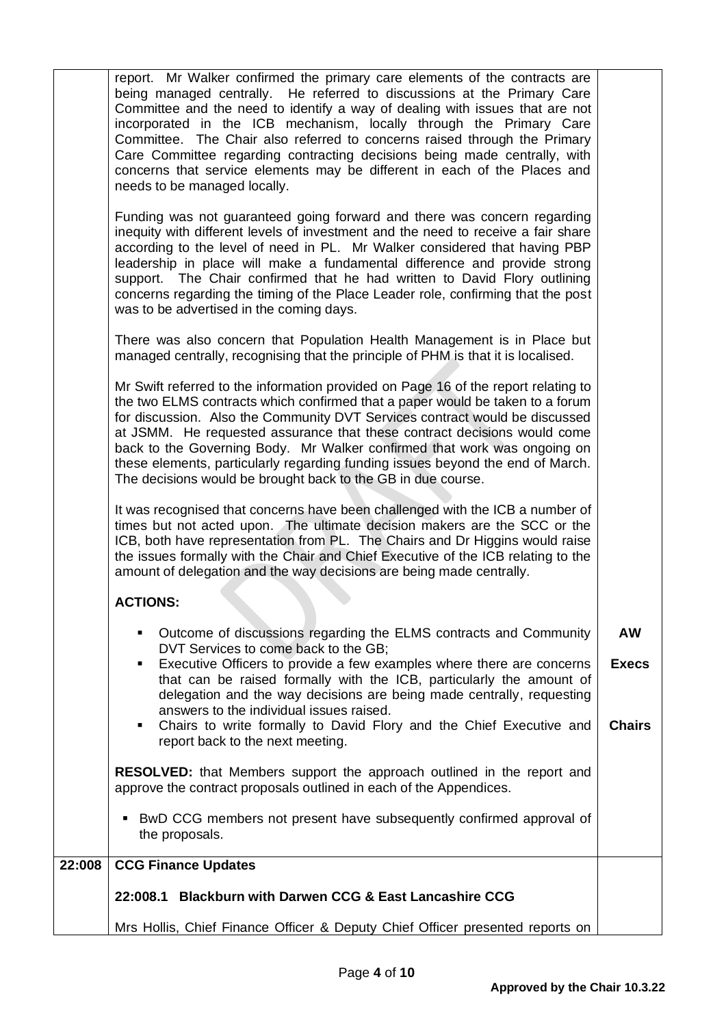|        | report. Mr Walker confirmed the primary care elements of the contracts are<br>being managed centrally. He referred to discussions at the Primary Care<br>Committee and the need to identify a way of dealing with issues that are not<br>incorporated in the ICB mechanism, locally through the Primary Care<br>Committee. The Chair also referred to concerns raised through the Primary<br>Care Committee regarding contracting decisions being made centrally, with<br>concerns that service elements may be different in each of the Places and<br>needs to be managed locally.<br>Funding was not guaranteed going forward and there was concern regarding<br>inequity with different levels of investment and the need to receive a fair share<br>according to the level of need in PL. Mr Walker considered that having PBP<br>leadership in place will make a fundamental difference and provide strong<br>support. The Chair confirmed that he had written to David Flory outlining<br>concerns regarding the timing of the Place Leader role, confirming that the post<br>was to be advertised in the coming days.<br>There was also concern that Population Health Management is in Place but |                           |
|--------|----------------------------------------------------------------------------------------------------------------------------------------------------------------------------------------------------------------------------------------------------------------------------------------------------------------------------------------------------------------------------------------------------------------------------------------------------------------------------------------------------------------------------------------------------------------------------------------------------------------------------------------------------------------------------------------------------------------------------------------------------------------------------------------------------------------------------------------------------------------------------------------------------------------------------------------------------------------------------------------------------------------------------------------------------------------------------------------------------------------------------------------------------------------------------------------------------------|---------------------------|
|        | managed centrally, recognising that the principle of PHM is that it is localised.                                                                                                                                                                                                                                                                                                                                                                                                                                                                                                                                                                                                                                                                                                                                                                                                                                                                                                                                                                                                                                                                                                                        |                           |
|        | Mr Swift referred to the information provided on Page 16 of the report relating to<br>the two ELMS contracts which confirmed that a paper would be taken to a forum<br>for discussion. Also the Community DVT Services contract would be discussed<br>at JSMM. He requested assurance that these contract decisions would come<br>back to the Governing Body. Mr Walker confirmed that work was ongoing on<br>these elements, particularly regarding funding issues beyond the end of March.<br>The decisions would be brought back to the GB in due course.                                                                                                                                                                                                                                                                                                                                                                                                                                                                                                                                                                                                                                             |                           |
|        | It was recognised that concerns have been challenged with the ICB a number of<br>times but not acted upon. The ultimate decision makers are the SCC or the<br>ICB, both have representation from PL. The Chairs and Dr Higgins would raise<br>the issues formally with the Chair and Chief Executive of the ICB relating to the<br>amount of delegation and the way decisions are being made centrally.                                                                                                                                                                                                                                                                                                                                                                                                                                                                                                                                                                                                                                                                                                                                                                                                  |                           |
|        | <b>ACTIONS:</b>                                                                                                                                                                                                                                                                                                                                                                                                                                                                                                                                                                                                                                                                                                                                                                                                                                                                                                                                                                                                                                                                                                                                                                                          |                           |
|        | Outcome of discussions regarding the ELMS contracts and Community<br>٠<br>DVT Services to come back to the GB;<br>Executive Officers to provide a few examples where there are concerns<br>٠                                                                                                                                                                                                                                                                                                                                                                                                                                                                                                                                                                                                                                                                                                                                                                                                                                                                                                                                                                                                             | <b>AW</b><br><b>Execs</b> |
|        | that can be raised formally with the ICB, particularly the amount of<br>delegation and the way decisions are being made centrally, requesting<br>answers to the individual issues raised.<br>Chairs to write formally to David Flory and the Chief Executive and<br>٠<br>report back to the next meeting.                                                                                                                                                                                                                                                                                                                                                                                                                                                                                                                                                                                                                                                                                                                                                                                                                                                                                                | <b>Chairs</b>             |
|        | <b>RESOLVED:</b> that Members support the approach outlined in the report and<br>approve the contract proposals outlined in each of the Appendices.                                                                                                                                                                                                                                                                                                                                                                                                                                                                                                                                                                                                                                                                                                                                                                                                                                                                                                                                                                                                                                                      |                           |
|        | • BwD CCG members not present have subsequently confirmed approval of<br>the proposals.                                                                                                                                                                                                                                                                                                                                                                                                                                                                                                                                                                                                                                                                                                                                                                                                                                                                                                                                                                                                                                                                                                                  |                           |
| 22:008 | <b>CCG Finance Updates</b>                                                                                                                                                                                                                                                                                                                                                                                                                                                                                                                                                                                                                                                                                                                                                                                                                                                                                                                                                                                                                                                                                                                                                                               |                           |
|        | 22:008.1 Blackburn with Darwen CCG & East Lancashire CCG                                                                                                                                                                                                                                                                                                                                                                                                                                                                                                                                                                                                                                                                                                                                                                                                                                                                                                                                                                                                                                                                                                                                                 |                           |
|        | Mrs Hollis, Chief Finance Officer & Deputy Chief Officer presented reports on                                                                                                                                                                                                                                                                                                                                                                                                                                                                                                                                                                                                                                                                                                                                                                                                                                                                                                                                                                                                                                                                                                                            |                           |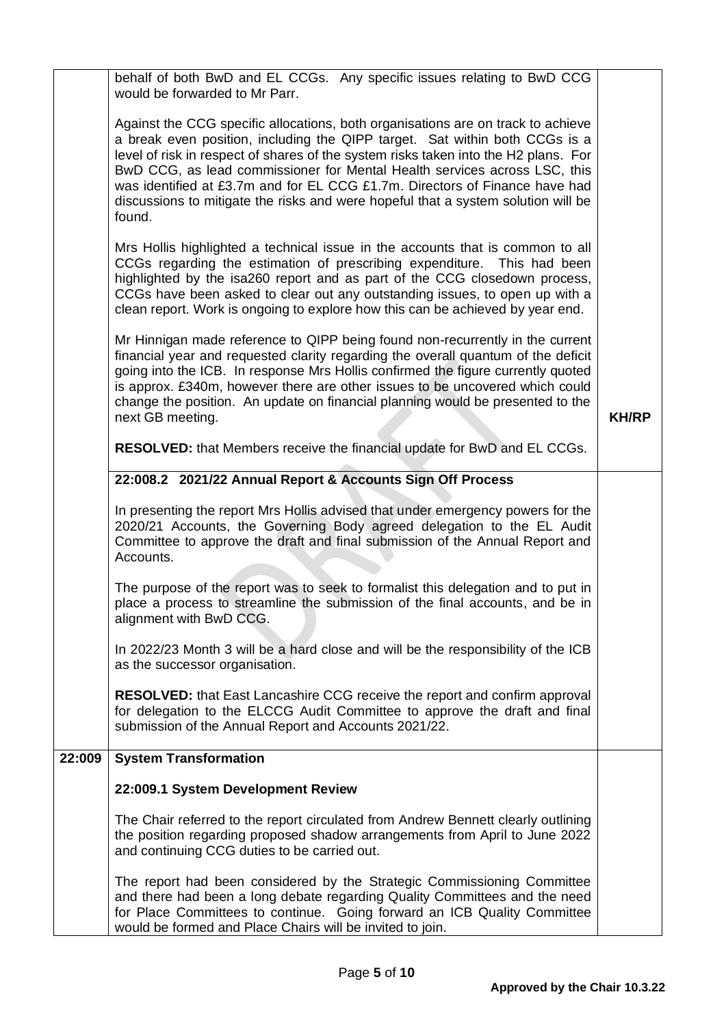|        | behalf of both BwD and EL CCGs. Any specific issues relating to BwD CCG<br>would be forwarded to Mr Parr.                                                                                                                                                                                                                                                                                                                                                                                                         |              |
|--------|-------------------------------------------------------------------------------------------------------------------------------------------------------------------------------------------------------------------------------------------------------------------------------------------------------------------------------------------------------------------------------------------------------------------------------------------------------------------------------------------------------------------|--------------|
|        | Against the CCG specific allocations, both organisations are on track to achieve<br>a break even position, including the QIPP target. Sat within both CCGs is a<br>level of risk in respect of shares of the system risks taken into the H2 plans. For<br>BwD CCG, as lead commissioner for Mental Health services across LSC, this<br>was identified at £3.7m and for EL CCG £1.7m. Directors of Finance have had<br>discussions to mitigate the risks and were hopeful that a system solution will be<br>found. |              |
|        | Mrs Hollis highlighted a technical issue in the accounts that is common to all<br>CCGs regarding the estimation of prescribing expenditure. This had been<br>highlighted by the isa260 report and as part of the CCG closedown process,<br>CCGs have been asked to clear out any outstanding issues, to open up with a<br>clean report. Work is ongoing to explore how this can be achieved by year end.                                                                                                          |              |
|        | Mr Hinnigan made reference to QIPP being found non-recurrently in the current<br>financial year and requested clarity regarding the overall quantum of the deficit<br>going into the ICB. In response Mrs Hollis confirmed the figure currently quoted<br>is approx. £340m, however there are other issues to be uncovered which could<br>change the position. An update on financial planning would be presented to the<br>next GB meeting.                                                                      | <b>KH/RP</b> |
|        | RESOLVED: that Members receive the financial update for BwD and EL CCGs.                                                                                                                                                                                                                                                                                                                                                                                                                                          |              |
|        | 22:008.2 2021/22 Annual Report & Accounts Sign Off Process                                                                                                                                                                                                                                                                                                                                                                                                                                                        |              |
|        | In presenting the report Mrs Hollis advised that under emergency powers for the<br>2020/21 Accounts, the Governing Body agreed delegation to the EL Audit<br>Committee to approve the draft and final submission of the Annual Report and<br>Accounts.                                                                                                                                                                                                                                                            |              |
|        | The purpose of the report was to seek to formalist this delegation and to put in<br>place a process to streamline the submission of the final accounts, and be in<br>alignment with BwD CCG.                                                                                                                                                                                                                                                                                                                      |              |
|        | In 2022/23 Month 3 will be a hard close and will be the responsibility of the ICB<br>as the successor organisation.                                                                                                                                                                                                                                                                                                                                                                                               |              |
|        | <b>RESOLVED:</b> that East Lancashire CCG receive the report and confirm approval<br>for delegation to the ELCCG Audit Committee to approve the draft and final<br>submission of the Annual Report and Accounts 2021/22.                                                                                                                                                                                                                                                                                          |              |
| 22:009 | <b>System Transformation</b>                                                                                                                                                                                                                                                                                                                                                                                                                                                                                      |              |
|        | 22:009.1 System Development Review                                                                                                                                                                                                                                                                                                                                                                                                                                                                                |              |
|        | The Chair referred to the report circulated from Andrew Bennett clearly outlining<br>the position regarding proposed shadow arrangements from April to June 2022<br>and continuing CCG duties to be carried out.                                                                                                                                                                                                                                                                                                  |              |
|        | The report had been considered by the Strategic Commissioning Committee<br>and there had been a long debate regarding Quality Committees and the need<br>for Place Committees to continue. Going forward an ICB Quality Committee<br>would be formed and Place Chairs will be invited to join.                                                                                                                                                                                                                    |              |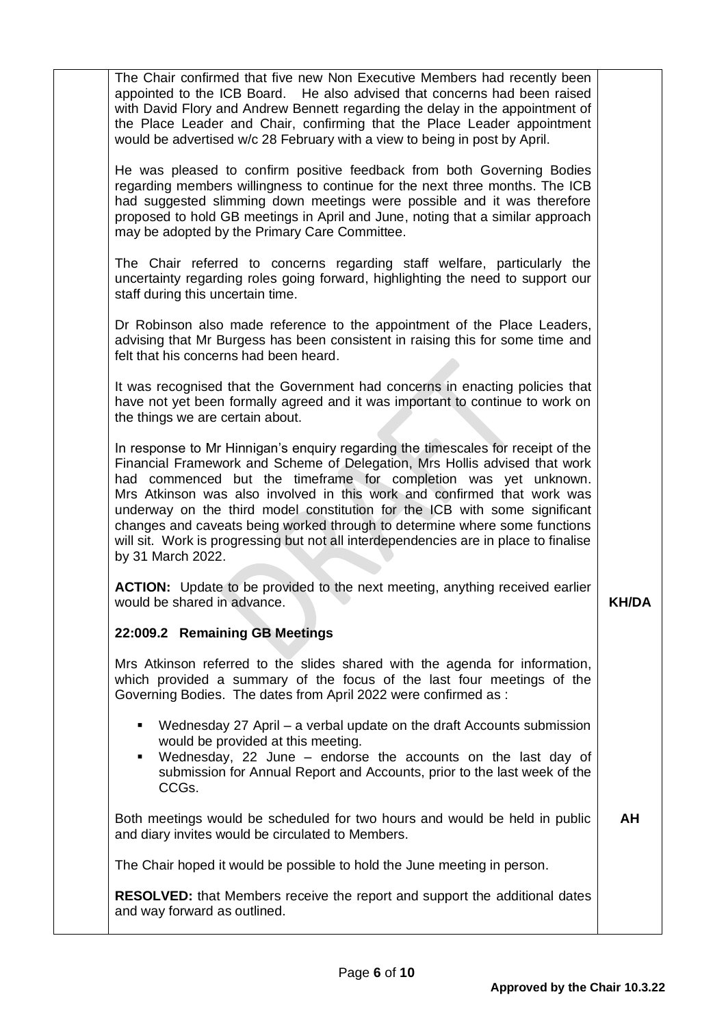| The Chair confirmed that five new Non Executive Members had recently been<br>appointed to the ICB Board. He also advised that concerns had been raised<br>with David Flory and Andrew Bennett regarding the delay in the appointment of<br>the Place Leader and Chair, confirming that the Place Leader appointment<br>would be advertised w/c 28 February with a view to being in post by April.                                                                                                                                                                                     |              |
|---------------------------------------------------------------------------------------------------------------------------------------------------------------------------------------------------------------------------------------------------------------------------------------------------------------------------------------------------------------------------------------------------------------------------------------------------------------------------------------------------------------------------------------------------------------------------------------|--------------|
| He was pleased to confirm positive feedback from both Governing Bodies<br>regarding members willingness to continue for the next three months. The ICB<br>had suggested slimming down meetings were possible and it was therefore<br>proposed to hold GB meetings in April and June, noting that a similar approach<br>may be adopted by the Primary Care Committee.                                                                                                                                                                                                                  |              |
| The Chair referred to concerns regarding staff welfare, particularly the<br>uncertainty regarding roles going forward, highlighting the need to support our<br>staff during this uncertain time.                                                                                                                                                                                                                                                                                                                                                                                      |              |
| Dr Robinson also made reference to the appointment of the Place Leaders,<br>advising that Mr Burgess has been consistent in raising this for some time and<br>felt that his concerns had been heard.                                                                                                                                                                                                                                                                                                                                                                                  |              |
| It was recognised that the Government had concerns in enacting policies that<br>have not yet been formally agreed and it was important to continue to work on<br>the things we are certain about.                                                                                                                                                                                                                                                                                                                                                                                     |              |
| In response to Mr Hinnigan's enquiry regarding the timescales for receipt of the<br>Financial Framework and Scheme of Delegation, Mrs Hollis advised that work<br>had commenced but the timeframe for completion was yet unknown.<br>Mrs Atkinson was also involved in this work and confirmed that work was<br>underway on the third model constitution for the ICB with some significant<br>changes and caveats being worked through to determine where some functions<br>will sit. Work is progressing but not all interdependencies are in place to finalise<br>by 31 March 2022. |              |
| <b>ACTION:</b> Update to be provided to the next meeting, anything received earlier<br>would be shared in advance.                                                                                                                                                                                                                                                                                                                                                                                                                                                                    | <b>KH/DA</b> |
| 22:009.2 Remaining GB Meetings                                                                                                                                                                                                                                                                                                                                                                                                                                                                                                                                                        |              |
| Mrs Atkinson referred to the slides shared with the agenda for information,<br>which provided a summary of the focus of the last four meetings of the<br>Governing Bodies. The dates from April 2022 were confirmed as :                                                                                                                                                                                                                                                                                                                                                              |              |
| Wednesday 27 April – a verbal update on the draft Accounts submission<br>٠<br>would be provided at this meeting.<br>Wednesday, 22 June - endorse the accounts on the last day of<br>٠<br>submission for Annual Report and Accounts, prior to the last week of the<br>CCGs.                                                                                                                                                                                                                                                                                                            |              |
| Both meetings would be scheduled for two hours and would be held in public<br>and diary invites would be circulated to Members.                                                                                                                                                                                                                                                                                                                                                                                                                                                       | AH           |
| The Chair hoped it would be possible to hold the June meeting in person.                                                                                                                                                                                                                                                                                                                                                                                                                                                                                                              |              |
| <b>RESOLVED:</b> that Members receive the report and support the additional dates<br>and way forward as outlined.                                                                                                                                                                                                                                                                                                                                                                                                                                                                     |              |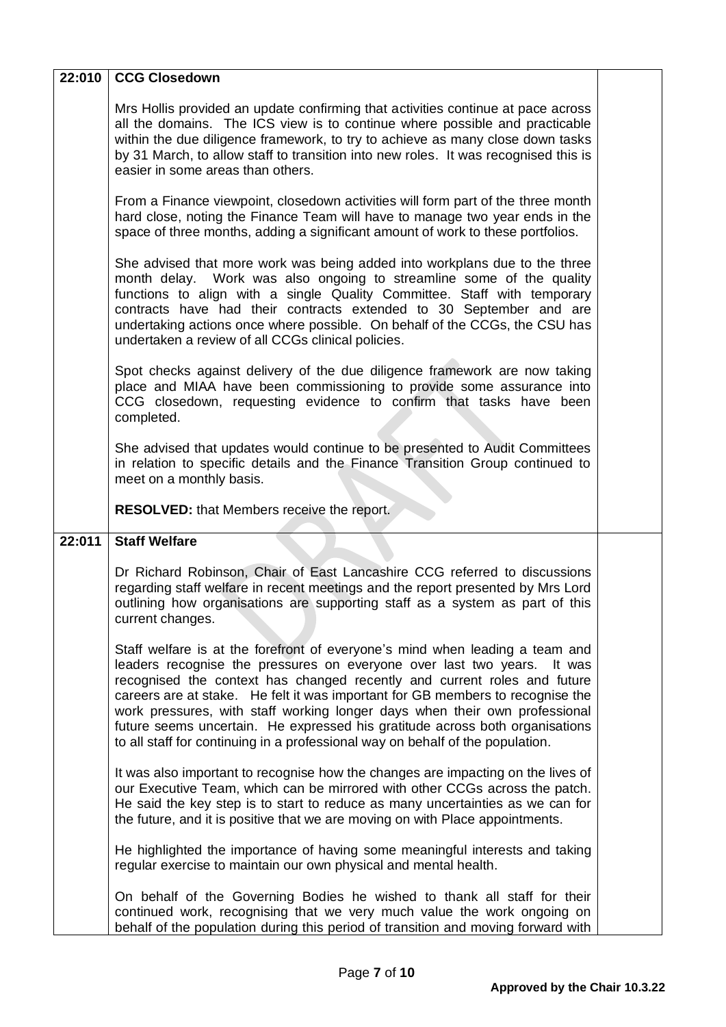| 22:010 | <b>CCG Closedown</b>                                                                                                                                                                                                                                                                                                                                                                                                                                                                                                                                                     |  |
|--------|--------------------------------------------------------------------------------------------------------------------------------------------------------------------------------------------------------------------------------------------------------------------------------------------------------------------------------------------------------------------------------------------------------------------------------------------------------------------------------------------------------------------------------------------------------------------------|--|
|        | Mrs Hollis provided an update confirming that activities continue at pace across<br>all the domains. The ICS view is to continue where possible and practicable<br>within the due diligence framework, to try to achieve as many close down tasks<br>by 31 March, to allow staff to transition into new roles. It was recognised this is<br>easier in some areas than others.                                                                                                                                                                                            |  |
|        | From a Finance viewpoint, closedown activities will form part of the three month<br>hard close, noting the Finance Team will have to manage two year ends in the<br>space of three months, adding a significant amount of work to these portfolios.                                                                                                                                                                                                                                                                                                                      |  |
|        | She advised that more work was being added into workplans due to the three<br>month delay. Work was also ongoing to streamline some of the quality<br>functions to align with a single Quality Committee. Staff with temporary<br>contracts have had their contracts extended to 30 September and are<br>undertaking actions once where possible. On behalf of the CCGs, the CSU has<br>undertaken a review of all CCGs clinical policies.                                                                                                                               |  |
|        | Spot checks against delivery of the due diligence framework are now taking<br>place and MIAA have been commissioning to provide some assurance into<br>CCG closedown, requesting evidence to confirm that tasks have been<br>completed.                                                                                                                                                                                                                                                                                                                                  |  |
|        | She advised that updates would continue to be presented to Audit Committees<br>in relation to specific details and the Finance Transition Group continued to<br>meet on a monthly basis.                                                                                                                                                                                                                                                                                                                                                                                 |  |
|        |                                                                                                                                                                                                                                                                                                                                                                                                                                                                                                                                                                          |  |
|        | RESOLVED: that Members receive the report.                                                                                                                                                                                                                                                                                                                                                                                                                                                                                                                               |  |
| 22:011 | <b>Staff Welfare</b>                                                                                                                                                                                                                                                                                                                                                                                                                                                                                                                                                     |  |
|        | Dr Richard Robinson, Chair of East Lancashire CCG referred to discussions<br>regarding staff welfare in recent meetings and the report presented by Mrs Lord<br>outlining how organisations are supporting staff as a system as part of this<br>current changes.                                                                                                                                                                                                                                                                                                         |  |
|        | Staff welfare is at the forefront of everyone's mind when leading a team and<br>leaders recognise the pressures on everyone over last two years.<br>It was<br>recognised the context has changed recently and current roles and future<br>careers are at stake. He felt it was important for GB members to recognise the<br>work pressures, with staff working longer days when their own professional<br>future seems uncertain. He expressed his gratitude across both organisations<br>to all staff for continuing in a professional way on behalf of the population. |  |
|        | It was also important to recognise how the changes are impacting on the lives of<br>our Executive Team, which can be mirrored with other CCGs across the patch.<br>He said the key step is to start to reduce as many uncertainties as we can for<br>the future, and it is positive that we are moving on with Place appointments.                                                                                                                                                                                                                                       |  |
|        | He highlighted the importance of having some meaningful interests and taking<br>regular exercise to maintain our own physical and mental health.                                                                                                                                                                                                                                                                                                                                                                                                                         |  |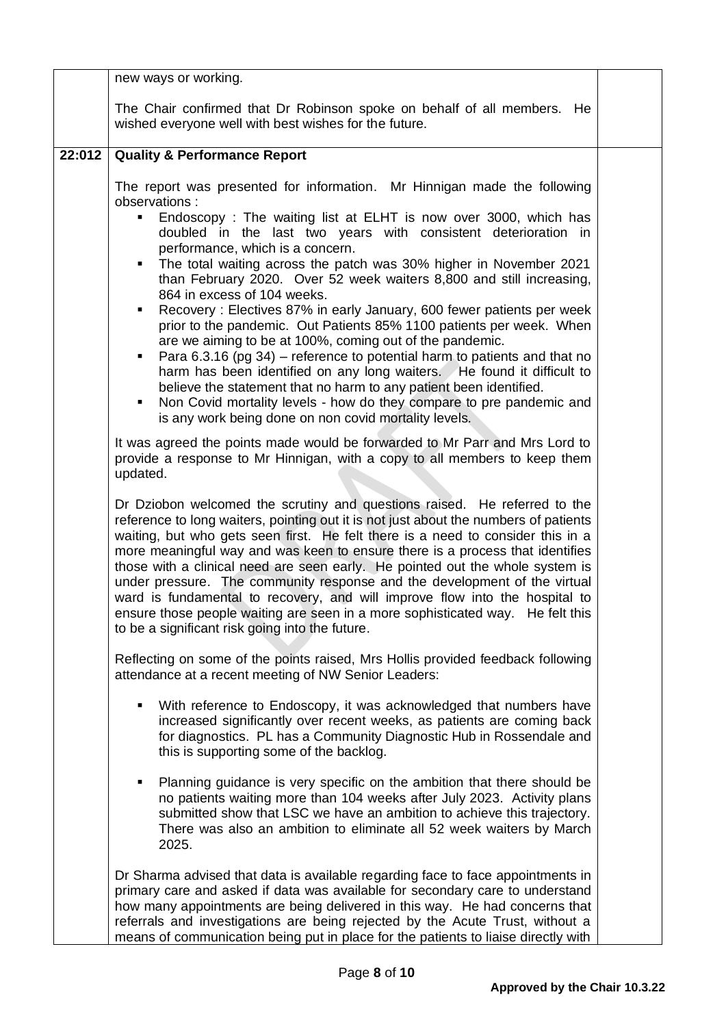|        | new ways or working.                                                                                                                                                                                                                                                                                                                                                                                                                                                                                                                                                                                                                                                                                                                                                                                                                                                                                                                                                                                                                                             |  |
|--------|------------------------------------------------------------------------------------------------------------------------------------------------------------------------------------------------------------------------------------------------------------------------------------------------------------------------------------------------------------------------------------------------------------------------------------------------------------------------------------------------------------------------------------------------------------------------------------------------------------------------------------------------------------------------------------------------------------------------------------------------------------------------------------------------------------------------------------------------------------------------------------------------------------------------------------------------------------------------------------------------------------------------------------------------------------------|--|
|        | The Chair confirmed that Dr Robinson spoke on behalf of all members. He<br>wished everyone well with best wishes for the future.                                                                                                                                                                                                                                                                                                                                                                                                                                                                                                                                                                                                                                                                                                                                                                                                                                                                                                                                 |  |
| 22:012 | <b>Quality &amp; Performance Report</b>                                                                                                                                                                                                                                                                                                                                                                                                                                                                                                                                                                                                                                                                                                                                                                                                                                                                                                                                                                                                                          |  |
|        | The report was presented for information. Mr Hinnigan made the following<br>observations:<br>Endoscopy: The waiting list at ELHT is now over 3000, which has<br>doubled in the last two years with consistent deterioration in<br>performance, which is a concern.<br>• The total waiting across the patch was 30% higher in November 2021<br>than February 2020. Over 52 week waiters 8,800 and still increasing,<br>864 in excess of 104 weeks.<br>Recovery: Electives 87% in early January, 600 fewer patients per week<br>prior to the pandemic. Out Patients 85% 1100 patients per week. When<br>are we aiming to be at 100%, coming out of the pandemic.<br>Para 6.3.16 (pg 34) – reference to potential harm to patients and that no<br>$\blacksquare$<br>harm has been identified on any long waiters. He found it difficult to<br>believe the statement that no harm to any patient been identified.<br>Non Covid mortality levels - how do they compare to pre pandemic and<br>$\blacksquare$<br>is any work being done on non covid mortality levels. |  |
|        | It was agreed the points made would be forwarded to Mr Parr and Mrs Lord to<br>provide a response to Mr Hinnigan, with a copy to all members to keep them<br>updated.                                                                                                                                                                                                                                                                                                                                                                                                                                                                                                                                                                                                                                                                                                                                                                                                                                                                                            |  |
|        | Dr Dziobon welcomed the scrutiny and questions raised. He referred to the<br>reference to long waiters, pointing out it is not just about the numbers of patients<br>waiting, but who gets seen first. He felt there is a need to consider this in a<br>more meaningful way and was keen to ensure there is a process that identifies<br>those with a clinical need are seen early. He pointed out the whole system is<br>under pressure. The community response and the development of the virtual<br>ward is fundamental to recovery, and will improve flow into the hospital to<br>ensure those people waiting are seen in a more sophisticated way. He felt this<br>to be a significant risk going into the future.                                                                                                                                                                                                                                                                                                                                          |  |
|        | Reflecting on some of the points raised, Mrs Hollis provided feedback following<br>attendance at a recent meeting of NW Senior Leaders:                                                                                                                                                                                                                                                                                                                                                                                                                                                                                                                                                                                                                                                                                                                                                                                                                                                                                                                          |  |
|        | With reference to Endoscopy, it was acknowledged that numbers have<br>increased significantly over recent weeks, as patients are coming back<br>for diagnostics. PL has a Community Diagnostic Hub in Rossendale and<br>this is supporting some of the backlog.                                                                                                                                                                                                                                                                                                                                                                                                                                                                                                                                                                                                                                                                                                                                                                                                  |  |
|        | Planning guidance is very specific on the ambition that there should be<br>٠<br>no patients waiting more than 104 weeks after July 2023. Activity plans<br>submitted show that LSC we have an ambition to achieve this trajectory.<br>There was also an ambition to eliminate all 52 week waiters by March<br>2025.                                                                                                                                                                                                                                                                                                                                                                                                                                                                                                                                                                                                                                                                                                                                              |  |
|        | Dr Sharma advised that data is available regarding face to face appointments in<br>primary care and asked if data was available for secondary care to understand<br>how many appointments are being delivered in this way. He had concerns that<br>referrals and investigations are being rejected by the Acute Trust, without a<br>means of communication being put in place for the patients to liaise directly with                                                                                                                                                                                                                                                                                                                                                                                                                                                                                                                                                                                                                                           |  |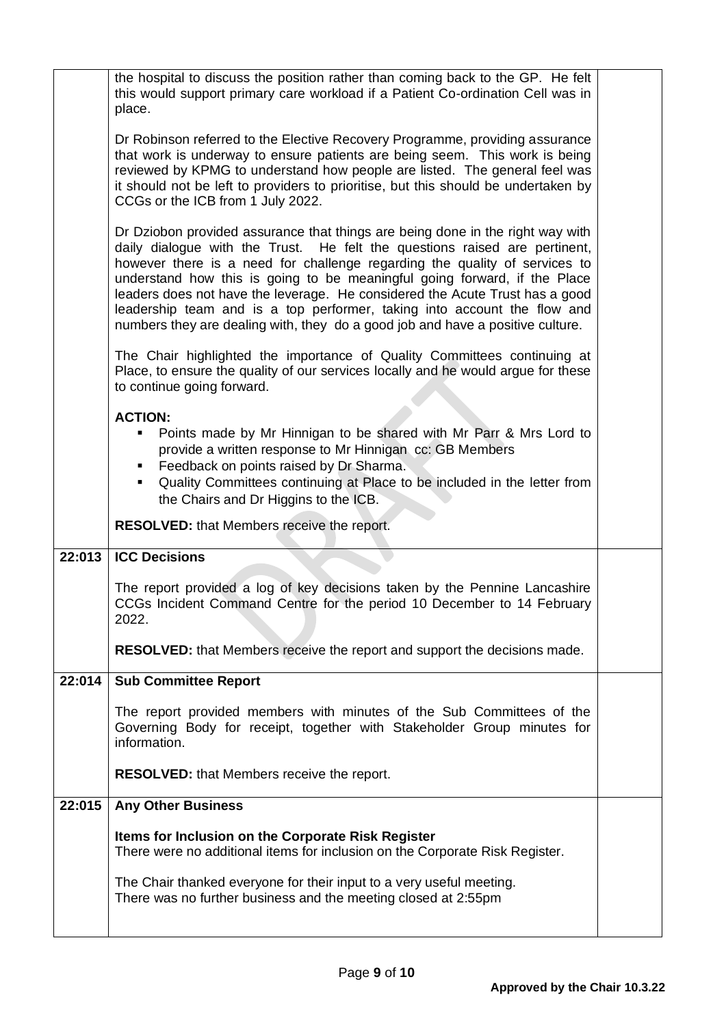| the hospital to discuss the position rather than coming back to the GP. He felt                                                                                                                                                                                                                                                                                                                                                                                                                                                                                                                                                                                                                                                                                                                                                                                                                                                                                                                                                                                                                                                                                                                                                                                                                                                                                                                                                                                                                                                          |
|------------------------------------------------------------------------------------------------------------------------------------------------------------------------------------------------------------------------------------------------------------------------------------------------------------------------------------------------------------------------------------------------------------------------------------------------------------------------------------------------------------------------------------------------------------------------------------------------------------------------------------------------------------------------------------------------------------------------------------------------------------------------------------------------------------------------------------------------------------------------------------------------------------------------------------------------------------------------------------------------------------------------------------------------------------------------------------------------------------------------------------------------------------------------------------------------------------------------------------------------------------------------------------------------------------------------------------------------------------------------------------------------------------------------------------------------------------------------------------------------------------------------------------------|
|                                                                                                                                                                                                                                                                                                                                                                                                                                                                                                                                                                                                                                                                                                                                                                                                                                                                                                                                                                                                                                                                                                                                                                                                                                                                                                                                                                                                                                                                                                                                          |
|                                                                                                                                                                                                                                                                                                                                                                                                                                                                                                                                                                                                                                                                                                                                                                                                                                                                                                                                                                                                                                                                                                                                                                                                                                                                                                                                                                                                                                                                                                                                          |
|                                                                                                                                                                                                                                                                                                                                                                                                                                                                                                                                                                                                                                                                                                                                                                                                                                                                                                                                                                                                                                                                                                                                                                                                                                                                                                                                                                                                                                                                                                                                          |
|                                                                                                                                                                                                                                                                                                                                                                                                                                                                                                                                                                                                                                                                                                                                                                                                                                                                                                                                                                                                                                                                                                                                                                                                                                                                                                                                                                                                                                                                                                                                          |
|                                                                                                                                                                                                                                                                                                                                                                                                                                                                                                                                                                                                                                                                                                                                                                                                                                                                                                                                                                                                                                                                                                                                                                                                                                                                                                                                                                                                                                                                                                                                          |
|                                                                                                                                                                                                                                                                                                                                                                                                                                                                                                                                                                                                                                                                                                                                                                                                                                                                                                                                                                                                                                                                                                                                                                                                                                                                                                                                                                                                                                                                                                                                          |
|                                                                                                                                                                                                                                                                                                                                                                                                                                                                                                                                                                                                                                                                                                                                                                                                                                                                                                                                                                                                                                                                                                                                                                                                                                                                                                                                                                                                                                                                                                                                          |
|                                                                                                                                                                                                                                                                                                                                                                                                                                                                                                                                                                                                                                                                                                                                                                                                                                                                                                                                                                                                                                                                                                                                                                                                                                                                                                                                                                                                                                                                                                                                          |
|                                                                                                                                                                                                                                                                                                                                                                                                                                                                                                                                                                                                                                                                                                                                                                                                                                                                                                                                                                                                                                                                                                                                                                                                                                                                                                                                                                                                                                                                                                                                          |
|                                                                                                                                                                                                                                                                                                                                                                                                                                                                                                                                                                                                                                                                                                                                                                                                                                                                                                                                                                                                                                                                                                                                                                                                                                                                                                                                                                                                                                                                                                                                          |
|                                                                                                                                                                                                                                                                                                                                                                                                                                                                                                                                                                                                                                                                                                                                                                                                                                                                                                                                                                                                                                                                                                                                                                                                                                                                                                                                                                                                                                                                                                                                          |
|                                                                                                                                                                                                                                                                                                                                                                                                                                                                                                                                                                                                                                                                                                                                                                                                                                                                                                                                                                                                                                                                                                                                                                                                                                                                                                                                                                                                                                                                                                                                          |
|                                                                                                                                                                                                                                                                                                                                                                                                                                                                                                                                                                                                                                                                                                                                                                                                                                                                                                                                                                                                                                                                                                                                                                                                                                                                                                                                                                                                                                                                                                                                          |
|                                                                                                                                                                                                                                                                                                                                                                                                                                                                                                                                                                                                                                                                                                                                                                                                                                                                                                                                                                                                                                                                                                                                                                                                                                                                                                                                                                                                                                                                                                                                          |
| this would support primary care workload if a Patient Co-ordination Cell was in<br>Dr Robinson referred to the Elective Recovery Programme, providing assurance<br>that work is underway to ensure patients are being seem. This work is being<br>reviewed by KPMG to understand how people are listed. The general feel was<br>it should not be left to providers to prioritise, but this should be undertaken by<br>Dr Dziobon provided assurance that things are being done in the right way with<br>daily dialogue with the Trust. He felt the questions raised are pertinent,<br>however there is a need for challenge regarding the quality of services to<br>understand how this is going to be meaningful going forward, if the Place<br>leaders does not have the leverage. He considered the Acute Trust has a good<br>leadership team and is a top performer, taking into account the flow and<br>The Chair highlighted the importance of Quality Committees continuing at<br>Place, to ensure the quality of our services locally and he would argue for these<br>Points made by Mr Hinnigan to be shared with Mr Parr & Mrs Lord to<br>Quality Committees continuing at Place to be included in the letter from<br>The report provided a log of key decisions taken by the Pennine Lancashire<br>CCGs Incident Command Centre for the period 10 December to 14 February<br>The report provided members with minutes of the Sub Committees of the<br>Governing Body for receipt, together with Stakeholder Group minutes for |